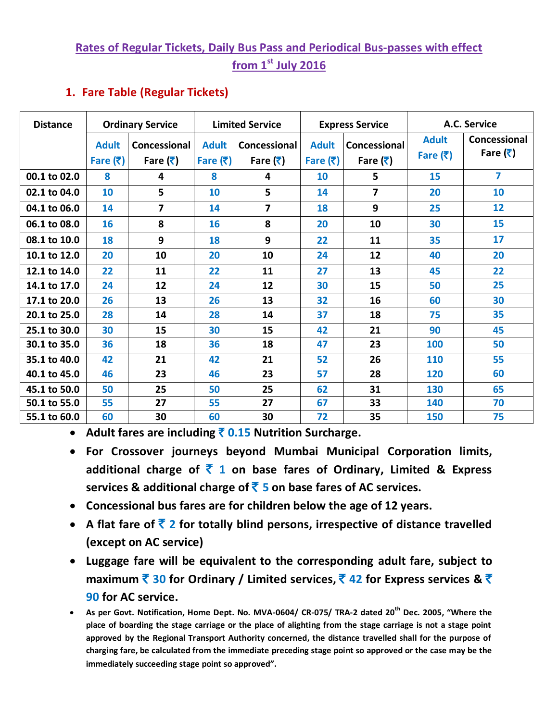# **Rates of Regular Tickets, Daily Bus Pass and Periodical Bus-passes with effect from 1 st July 2016**

## **1. Fare Table (Regular Tickets)**

| <b>Distance</b> |                            | <b>Ordinary Service</b>                         | <b>Limited Service</b>     |                                                 | <b>Express Service</b>     |                                                 | A.C. Service                               |                                                 |
|-----------------|----------------------------|-------------------------------------------------|----------------------------|-------------------------------------------------|----------------------------|-------------------------------------------------|--------------------------------------------|-------------------------------------------------|
|                 | <b>Adult</b><br>Fare $(3)$ | Concessional<br>Fare $(\bar{\bar{\mathbf{x}}})$ | <b>Adult</b><br>Fare $(3)$ | Concessional<br>Fare $(\bar{\bar{\mathbf{x}}})$ | <b>Adult</b><br>Fare $(3)$ | Concessional<br>Fare $(\bar{\bar{\mathbf{x}}})$ | <b>Adult</b><br>Fare $(\bar{\bar{\zeta}})$ | Concessional<br>Fare $(\bar{\bar{\mathbf{x}}})$ |
| 00.1 to 02.0    | 8                          | 4                                               | 8                          | 4                                               | 10                         | 5                                               | 15                                         | 7                                               |
| 02.1 to 04.0    | 10                         | 5                                               | 10                         | 5                                               | 14                         | $\overline{7}$                                  | 20                                         | 10                                              |
| 04.1 to 06.0    | 14                         | $\overline{7}$                                  | 14                         | 7                                               | 18                         | 9                                               | 25                                         | 12                                              |
| 06.1 to 08.0    | 16                         | 8                                               | 16                         | 8                                               | 20                         | 10                                              | 30                                         | 15                                              |
| 08.1 to 10.0    | 18                         | 9                                               | 18                         | 9                                               | 22                         | 11                                              | 35                                         | 17                                              |
| 10.1 to 12.0    | 20                         | 10                                              | 20                         | 10                                              | 24                         | 12                                              | 40                                         | 20                                              |
| 12.1 to 14.0    | 22                         | 11                                              | 22                         | 11                                              | 27                         | 13                                              | 45                                         | 22                                              |
| 14.1 to 17.0    | 24                         | 12                                              | 24                         | 12                                              | 30                         | 15                                              | 50                                         | 25                                              |
| 17.1 to 20.0    | 26                         | 13                                              | 26                         | 13                                              | 32                         | 16                                              | 60                                         | 30                                              |
| 20.1 to 25.0    | 28                         | 14                                              | 28                         | 14                                              | 37                         | 18                                              | 75                                         | 35                                              |
| 25.1 to 30.0    | 30                         | 15                                              | 30                         | 15                                              | 42                         | 21                                              | 90                                         | 45                                              |
| 30.1 to 35.0    | 36                         | 18                                              | 36                         | 18                                              | 47                         | 23                                              | 100                                        | 50                                              |
| 35.1 to 40.0    | 42                         | 21                                              | 42                         | 21                                              | 52                         | 26                                              | 110                                        | 55                                              |
| 40.1 to 45.0    | 46                         | 23                                              | 46                         | 23                                              | 57                         | 28                                              | 120                                        | 60                                              |
| 45.1 to 50.0    | 50                         | 25                                              | 50                         | 25                                              | 62                         | 31                                              | 130                                        | 65                                              |
| 50.1 to 55.0    | 55                         | 27                                              | 55                         | 27                                              | 67                         | 33                                              | 140                                        | 70                                              |
| 55.1 to 60.0    | 60                         | 30                                              | 60                         | 30                                              | 72                         | 35                                              | <b>150</b>                                 | 75                                              |

**Adult fares are including** ` **0.15 Nutrition Surcharge.**

- **For Crossover journeys beyond Mumbai Municipal Corporation limits, additional charge of** ` **1 on base fares of Ordinary, Limited & Express services & additional charge of** ` **5 on base fares of AC services.**
- **Concessional bus fares are for children below the age of 12 years.**
- **A** flat fare of  $\bar{\mathbf{z}}$  **2** for totally blind persons, irrespective of distance travelled **(except on AC service)**
- **Luggage fare will be equivalent to the corresponding adult fare, subject to maximum**  $\bar{2}$  **30** for Ordinary / Limited services,  $\bar{2}$  42 for Express services &  $\bar{2}$ **90 for AC service.**
- **As per Govt. Notification, Home Dept. No. MVA-0604/ CR-075/ TRA-2 dated 20th Dec. 2005, "Where the place of boarding the stage carriage or the place of alighting from the stage carriage is not a stage point approved by the Regional Transport Authority concerned, the distance travelled shall for the purpose of charging fare, be calculated from the immediate preceding stage point so approved or the case may be the immediately succeeding stage point so approved".**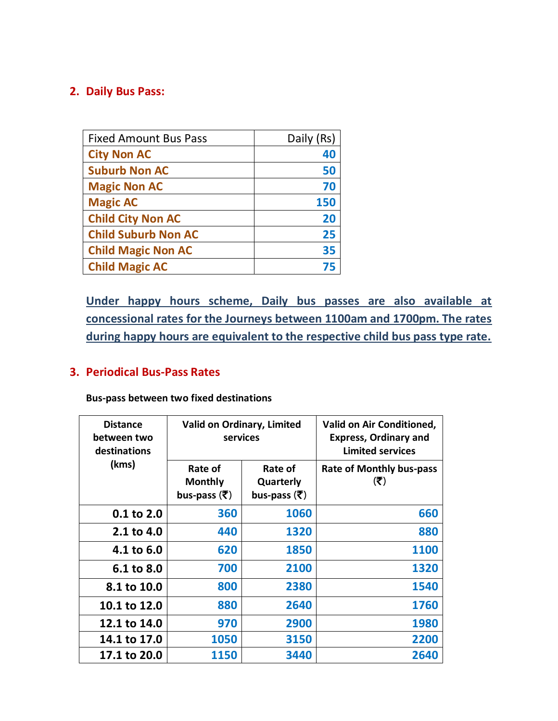## **2. Daily Bus Pass:**

| <b>Fixed Amount Bus Pass</b> | Daily (Rs) |
|------------------------------|------------|
| <b>City Non AC</b>           | 40         |
| <b>Suburb Non AC</b>         | 50         |
| <b>Magic Non AC</b>          | 70         |
| <b>Magic AC</b>              | 150        |
| <b>Child City Non AC</b>     | 20         |
| <b>Child Suburb Non AC</b>   | 25         |
| <b>Child Magic Non AC</b>    | 35         |
| <b>Child Magic AC</b>        | 75         |

**Under happy hours scheme, Daily bus passes are also available at concessional rates for the Journeys between 1100am and 1700pm. The rates during happy hours are equivalent to the respective child bus pass type rate.**

#### **3. Periodical Bus-Pass Rates**

**Bus-pass between two fixed destinations** 

| <b>Distance</b><br>between two<br>destinations | Valid on Ordinary, Limited<br>services                          |                                                            | <b>Valid on Air Conditioned,</b><br><b>Express, Ordinary and</b><br><b>Limited services</b> |
|------------------------------------------------|-----------------------------------------------------------------|------------------------------------------------------------|---------------------------------------------------------------------------------------------|
| (kms)                                          | Rate of<br><b>Monthly</b><br>bus-pass $(\overline{\mathbf{x}})$ | Rate of<br>Quarterly<br>bus-pass $(\overline{\mathbf{x}})$ | <b>Rate of Monthly bus-pass</b><br>$(\overline{\mathbf{z}})$                                |
| $0.1$ to $2.0$                                 | 360                                                             | 1060                                                       | 660                                                                                         |
| 2.1 to 4.0                                     | 440                                                             | 1320                                                       | 880                                                                                         |
| 4.1 to 6.0                                     | 620                                                             | 1850                                                       | 1100                                                                                        |
| 6.1 to 8.0                                     | 700                                                             | 2100                                                       | 1320                                                                                        |
| 8.1 to 10.0                                    | 800                                                             | 2380                                                       | 1540                                                                                        |
| 10.1 to 12.0                                   | 880                                                             | 2640                                                       | 1760                                                                                        |
| 12.1 to 14.0                                   | 970                                                             | 2900                                                       | 1980                                                                                        |
| 14.1 to 17.0                                   | 1050                                                            | 3150                                                       | 2200                                                                                        |
| 17.1 to 20.0                                   | 1150                                                            | 3440                                                       | 2640                                                                                        |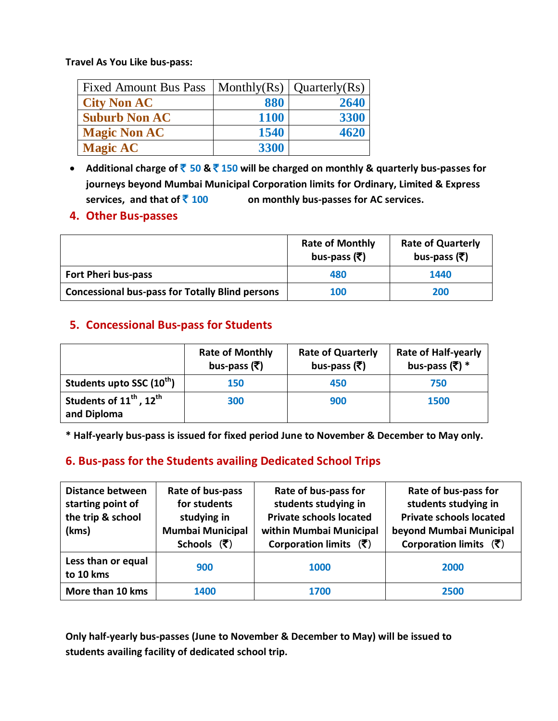**Travel As You Like bus-pass:**

| <b>Fixed Amount Bus Pass</b> |             | Monthly(Rs) $\vert$ Quarterly(Rs) |
|------------------------------|-------------|-----------------------------------|
| <b>City Non AC</b>           | 880         | 2640                              |
| <b>Suburb Non AC</b>         | <b>1100</b> | 3300                              |
| <b>Magic Non AC</b>          | 1540        | 4620                              |
| <b>Magic AC</b>              | 3300        |                                   |

 **Additional charge of** ` **50 &** ` **150 will be charged on monthly & quarterly bus-passes for journeys beyond Mumbai Municipal Corporation limits for Ordinary, Limited & Express**  services, and that of ₹ 100 **bigger 100 are absorbered to an** *i* **controllerate** bus-passes for AC services.

#### **4. Other Bus-passes**

|                                                        | <b>Rate of Monthly</b><br>bus-pass $(\overline{\mathfrak{T}})$ | <b>Rate of Quarterly</b><br>bus-pass $(\overline{\tau})$ |
|--------------------------------------------------------|----------------------------------------------------------------|----------------------------------------------------------|
| <b>Fort Pheri bus-pass</b>                             | 480                                                            | 1440                                                     |
| <b>Concessional bus-pass for Totally Blind persons</b> | <b>100</b>                                                     | 200                                                      |

#### **5. Concessional Bus-pass for Students**

|                                                                | <b>Rate of Monthly</b><br>bus-pass $(\overline{\mathfrak{T}})$ | <b>Rate of Quarterly</b><br>bus-pass (₹) | <b>Rate of Half-yearly</b><br>bus-pass $(\overline{\tau})$ * |
|----------------------------------------------------------------|----------------------------------------------------------------|------------------------------------------|--------------------------------------------------------------|
| Students upto SSC (10 <sup>th</sup> )                          | 150                                                            | 450                                      | 750                                                          |
| Students of 11 <sup>th</sup> , 12 <sup>th</sup><br>and Diploma | 300                                                            | 900                                      | 1500                                                         |

**\* Half-yearly bus-pass is issued for fixed period June to November & December to May only.**

### **6. Bus-pass for the Students availing Dedicated School Trips**

| <b>Distance between</b><br>starting point of<br>the trip & school<br>(kms) | Rate of bus-pass<br>for students<br>studying in<br><b>Mumbai Municipal</b><br>Schools $(\overline{\mathfrak{k}})$ | Rate of bus-pass for<br>students studying in<br><b>Private schools located</b><br>within Mumbai Municipal<br>Corporation limits $(\bar{\zeta})$ | Rate of bus-pass for<br>students studying in<br><b>Private schools located</b><br>beyond Mumbai Municipal<br>Corporation limits $(\bar{\zeta})$ |
|----------------------------------------------------------------------------|-------------------------------------------------------------------------------------------------------------------|-------------------------------------------------------------------------------------------------------------------------------------------------|-------------------------------------------------------------------------------------------------------------------------------------------------|
| Less than or equal<br>to 10 kms                                            | 900                                                                                                               | <b>1000</b>                                                                                                                                     | 2000                                                                                                                                            |
| More than 10 kms                                                           | 1400                                                                                                              | 1700                                                                                                                                            | 2500                                                                                                                                            |

**Only half-yearly bus-passes (June to November & December to May) will be issued to students availing facility of dedicated school trip.**